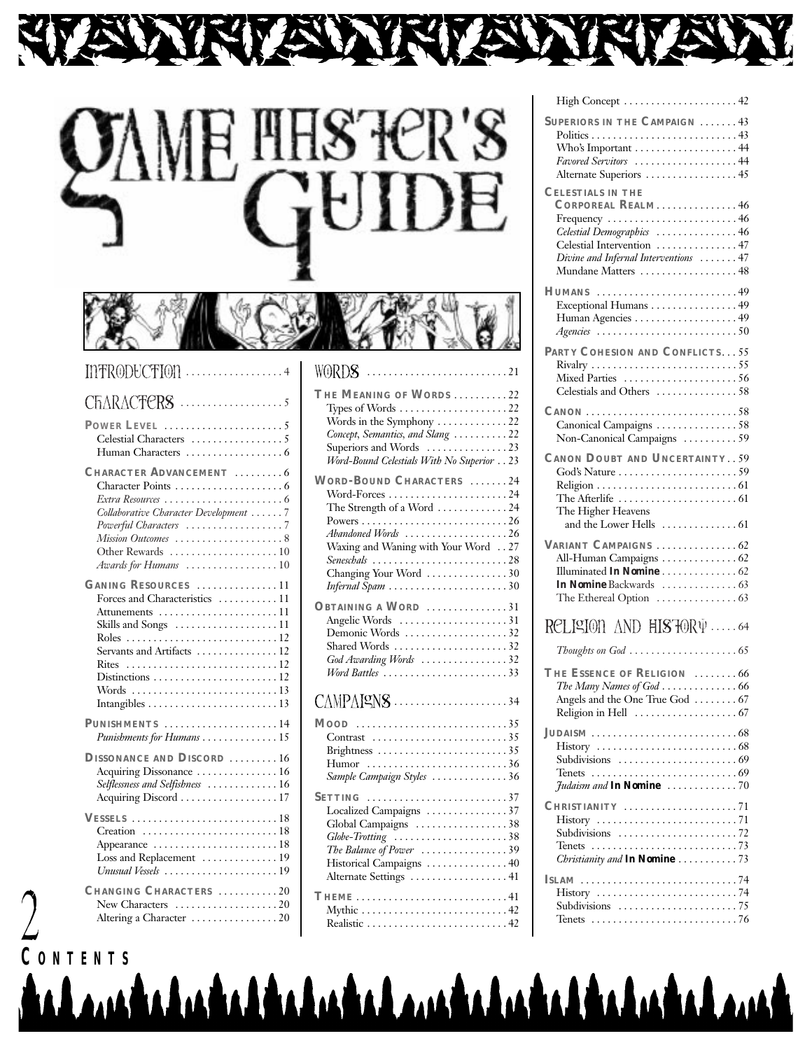

| <b>OAME HESTER'S</b> |  |
|----------------------|--|
|                      |  |

# $I\!1\!1$ T $R$  $0$ D $t$ C $T$  $I$  $0$  $1$  $\ldots$  $\ldots$  $\ldots$  $\ldots$  $\ldots$  $\ldots$

2

| $CHARACFERS$ 5                                                                                                                                                                                |
|-----------------------------------------------------------------------------------------------------------------------------------------------------------------------------------------------|
| POWER LEVEL $\ldots, \ldots, \ldots, \ldots, \ldots, 5$                                                                                                                                       |
| <b>CHARACTER ADVANCEMENT</b> 6<br>Collaborative Character Development 7<br>Powerful Characters 7<br>Mission Outcomes 8<br>Awards for Humans 10                                                |
| GANING RESOURCES 11<br>Forces and Characteristics  11<br>Attunements $\dots\dots\dots\dots\dots\dots\dots11$<br>Skills and Songs 11<br>Servants and Artifacts  12<br>Rites<br>Distinctions 12 |
| PUNISHMENTS 14<br>Punishments for Humans 15                                                                                                                                                   |
| DISSONANCE AND DISCORD 16<br>Acquiring Dissonance  16<br>Selflessness and Selfishness  16<br>Acquiring Discord 17                                                                             |
| Appearance 18<br>Loss and Replacement  19<br>Unusual Vessels 19                                                                                                                               |
| CHANGING CHARACTERS 20<br>New Characters 20<br>Altering a Character 20                                                                                                                        |

| THE MEANING OF WORDS 22<br>Types of Words $\dots\dots\dots\dots\dots\dots\dots$ 22<br>Words in the Symphony 22<br>Concept, Semantics, and Slang  22<br>Superiors and Words 23<br>Word-Bound Celestials With No Superior 23 |  |
|----------------------------------------------------------------------------------------------------------------------------------------------------------------------------------------------------------------------------|--|
| <b>WORD-BOUND CHARACTERS</b> 24                                                                                                                                                                                            |  |
|                                                                                                                                                                                                                            |  |
| The Strength of a Word 24                                                                                                                                                                                                  |  |
|                                                                                                                                                                                                                            |  |
| Abandoned Words 26                                                                                                                                                                                                         |  |
| Waxing and Waning with Your Word 27                                                                                                                                                                                        |  |
| Seneschals 28                                                                                                                                                                                                              |  |
| Changing Your Word 30                                                                                                                                                                                                      |  |
| Infernal Spam 30                                                                                                                                                                                                           |  |
| OBTAINING A WORD 31                                                                                                                                                                                                        |  |
| Angelic Words 31                                                                                                                                                                                                           |  |
| Demonic Words 32                                                                                                                                                                                                           |  |
| Shared Words 32                                                                                                                                                                                                            |  |
| God Awarding Words 32                                                                                                                                                                                                      |  |
| Word Battles $\ldots \ldots \ldots \ldots \ldots \ldots \ldots$ 33                                                                                                                                                         |  |
| $\mathsf{CAMPAlgNS}\dots\dots\dots\dots\dots\dots\dots\34$                                                                                                                                                                 |  |
| $MooD$ 35                                                                                                                                                                                                                  |  |
| Contrast 35                                                                                                                                                                                                                |  |
| Brightness 35                                                                                                                                                                                                              |  |
| Humor 36                                                                                                                                                                                                                   |  |
| Sample Campaign Styles 36                                                                                                                                                                                                  |  |
| $S$ ETTING 37                                                                                                                                                                                                              |  |
| Localized Campaigns 37                                                                                                                                                                                                     |  |
| Global Campaigns 38                                                                                                                                                                                                        |  |
| Globe-Trotting 38                                                                                                                                                                                                          |  |
| The Balance of Power 39                                                                                                                                                                                                    |  |
| Historical Campaigns  40                                                                                                                                                                                                   |  |
| Alternate Settings  41                                                                                                                                                                                                     |  |
| THEME $\ldots \ldots \ldots \ldots \ldots \ldots \ldots \ldots 41$                                                                                                                                                         |  |
| Mythic 42                                                                                                                                                                                                                  |  |
| Realistic 42                                                                                                                                                                                                               |  |

CONTENTS **And Andrew Andrew CONTENTS** 

| High Concept  42                                                                                    |
|-----------------------------------------------------------------------------------------------------|
| SUPERIORS IN THE CAMPAIGN  43                                                                       |
| Who's Important 44                                                                                  |
| Favored Servitors 44                                                                                |
| Alternate Superiors 45                                                                              |
| <b>CELESTIALS IN THE</b>                                                                            |
| CORPOREAL REALM46                                                                                   |
| $Frequency \ldots \ldots \ldots \ldots \ldots \ldots \ldots \ldots 46$                              |
| Celestial Demographics 46                                                                           |
| Celestial Intervention  47                                                                          |
| Divine and Infernal Interventions  47<br>Mundane Matters  48                                        |
| <b>HUMANS</b>                                                                                       |
| Exceptional Humans 49                                                                               |
|                                                                                                     |
|                                                                                                     |
| PARTY COHESION AND CONFLICTS55                                                                      |
| $\frac{1}{55}$                                                                                      |
| Mixed Parties                                                                                       |
| Celestials and Others 58                                                                            |
|                                                                                                     |
| Canonical Campaigns 58                                                                              |
| Non-Canonical Campaigns  59                                                                         |
| <b>CANON DOUBT AND UNCERTAINTY 59</b>                                                               |
|                                                                                                     |
|                                                                                                     |
| The Afterlife $\,\ldots\ldots\ldots\ldots\ldots\ldots\ldots\ldots\,61$                              |
| The Higher Heavens<br>and the Lower Hells<br>. 61                                                   |
|                                                                                                     |
| VARIANT CAMPAIGNS 62                                                                                |
| All-Human Campaigns  62<br>Illuminated <i>In Nomine</i> 62                                          |
| <i>In Nomine</i> Backwards  63                                                                      |
| The Ethereal Option $\dots\dots\dots\dots\dots$ 63                                                  |
| RELISION AND HISTORY 64                                                                             |
|                                                                                                     |
|                                                                                                     |
| THE ESSENCE OF RELIGION 66                                                                          |
| The Many Names of God 66<br>Angels and the One True God  67                                         |
|                                                                                                     |
|                                                                                                     |
|                                                                                                     |
| Subdivisions                                                                                        |
|                                                                                                     |
| $\tau$ udaism and In Nomine $\ldots \ldots \ldots \ldots$ 70                                        |
| CHRISTIANITY 71                                                                                     |
| $History \dots \dots \dots \dots \dots \dots \dots \dots \dots \dots \dots \dots \dots \dots \dots$ |
| Subdivisions $\ldots \ldots \ldots \ldots \ldots \ldots \ldots$ 72                                  |
| Tenets                                                                                              |
| Christianity and <b>In Nomine</b> 73                                                                |
| <b>ISLAM</b> 74                                                                                     |
|                                                                                                     |
| Subdivisions $\ldots \ldots \ldots \ldots \ldots \ldots \ldots$                                     |
|                                                                                                     |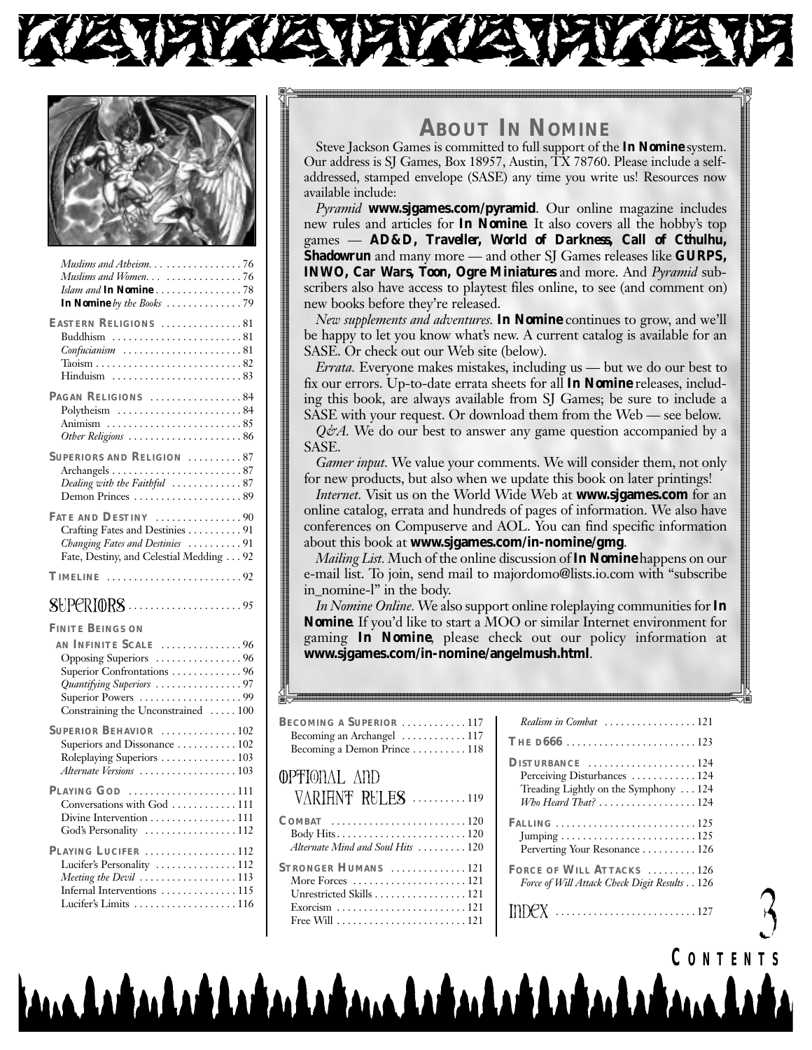



| Muslims and Atheism. 76                                                                                                                                               |
|-----------------------------------------------------------------------------------------------------------------------------------------------------------------------|
| Muslims and Women 76                                                                                                                                                  |
| Islam and In Nomine78<br>In Nomine by the Books $\ldots \ldots \ldots \ldots \ldots$                                                                                  |
| EASTERN RELIGIONS 81<br>Confucianism 81                                                                                                                               |
| PAGAN RELIGIONS 84<br>Polytheism $\dots\dots\dots\dots\dots\dots\dots 84$<br>Other Religions 86                                                                       |
| SUPERIORS AND RELIGION 87<br>Dealing with the Faithful 87<br>Demon Princes 89                                                                                         |
| FATE AND DESTINY 90<br>Crafting Fates and Destinies 91<br>Changing Fates and Destinies 91<br>Fate, Destiny, and Celestial Medding 92                                  |
| $TIME \dots \dots \dots \dots \dots \dots \dots 92$                                                                                                                   |
|                                                                                                                                                                       |
|                                                                                                                                                                       |
| <b>FINITE BEINGS ON</b>                                                                                                                                               |
| AN INFINITE SCALE 96<br>Opposing Superiors 96<br>Superior Confrontations  96<br>Quantifying Superiors 97<br>Superior Powers 99<br>Constraining the Unconstrained  100 |
| SUPERIOR BEHAVIOR $\ldots \ldots \ldots \ldots 102$<br>Superiors and Dissonance  102<br>Roleplaying Superiors  103<br>Alternate Versions 103                          |
| PLAYING GOD 111<br>Conversations with God  111<br>Divine Intervention  111<br>God's Personality 112                                                                   |

## **ABOUT IN NOMINE**

Steve Jackson Games is committed to full support of the *In Nomine* system. Our address is SJ Games, Box 18957, Austin, TX 78760. Please include a selfaddressed, stamped envelope (SASE) any time you write us! Resources now available include:

*Pyramid* www.sjgames.com/pyramid. Our online magazine includes new rules and articles for **In Nomine**. It also covers all the hobby's top games - AD&D, Traveller, World of Darkness, Call of Cthulhu, **Shadowrun** and many more — and other SJ Games releases like **GURPS**, **INWO, Car Wars, Toon, Ogre Miniatures** and more. And *Pyramid* subscribers also have access to playtest files online, to see (and comment on) new books before they're released.

New supplements and adventures. In Nomine continues to grow, and we'll be happy to let you know what's new. A current catalog is available for an SASE. Or check out our Web site (below).

*Errata.* Everyone makes mistakes, including us — but we do our best to fix our errors. Up-to-date errata sheets for all *In Nomine* releases, including this book, are always available from SJ Games; be sure to include a SASE with your request. Or download them from the Web — see below.

 $Q\dot{\varphi}A$ . We do our best to answer any game question accompanied by a SASE.

*Gamer input.* We value your comments. We will consider them, not only for new products, but also when we update this book on later printings!

Internet. Visit us on the World Wide Web at www.sjgames.com for an online catalog, errata and hundreds of pages of information. We also have conferences on Compuserve and AOL. You can find specific information about this book at www.sigames.com/in-nomine/gmg.

*Mailing List.* Much of the online discussion of **In Nomine** happens on our e-mail list. To join, send mail to majordomo@lists.io.com with "subscribe" in\_nomine-l" in the body.

In Nomine Online. We also support online roleplaying communities for In **Nomine.** If you'd like to start a MOO or similar Internet environment for gaming *In Nomine*, please check out our policy information at www.sjgames.com/in-nomine/angelmush.html.

| BECOMING A SUPERIOR 117<br>Becoming an Archangel  117<br>Becoming a Demon Prince 118                    |
|---------------------------------------------------------------------------------------------------------|
| OPFIONAL AND<br>$V \wedge R$ I FINT RULES $\ldots \ldots \ldots \ldots$                                 |
| Alternate Mind and Soul Hits  120                                                                       |
| STRONGER HUMANS 121<br>More Forces $\dots\dots\dots\dots\dots\dots\dots$ 121<br>Unrestricted Skills 121 |

| Realism in Combat 121                                                 |
|-----------------------------------------------------------------------|
| THE D666 123                                                          |
| DISTURBANCE 124                                                       |
| Perceiving Disturbances  124                                          |
| Treading Lightly on the Symphony 124                                  |
| Who Heard That? 124                                                   |
| FALLING $\ldots \ldots \ldots \ldots \ldots \ldots \ldots \ldots 125$ |
|                                                                       |
| Perverting Your Resonance 126                                         |
| FORCE OF WILL ATTACKS  126                                            |
| Force of Will Attack Check Digit Results 126                          |
|                                                                       |

CONTENTS